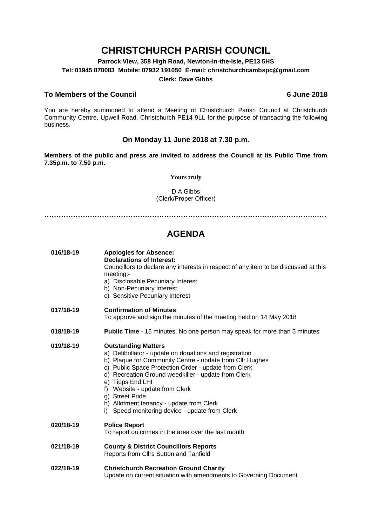# **CHRISTCHURCH PARISH COUNCIL**

**Parrock View, 358 High Road, Newton-in-the-Isle, PE13 5HS Tel: 01945 870083 Mobile: 07932 191050 E-mail: christchurchcambspc@gmail.com Clerk: Dave Gibbs**

## **To Members of the Council 6 June 2018**

You are hereby summoned to attend a Meeting of Christchurch Parish Council at Christchurch Community Centre, Upwell Road, Christchurch PE14 9LL for the purpose of transacting the following business.

### **On Monday 11 June 2018 at 7.30 p.m.**

**Members of the public and press are invited to address the Council at its Public Time from 7.35p.m. to 7.50 p.m.** 

#### **Yours truly**

D A Gibbs (Clerk/Proper Officer)

**………………………………………………………………………………………………….……**

# **AGENDA**

| 016/18-19 | <b>Apologies for Absence:</b><br><b>Declarations of Interest:</b><br>Councillors to declare any interests in respect of any item to be discussed at this<br>meeting:-<br>a) Disclosable Pecuniary Interest<br>b) Non-Pecuniary Interest<br>c) Sensitive Pecuniary Interest                                                                                                                                                              |
|-----------|-----------------------------------------------------------------------------------------------------------------------------------------------------------------------------------------------------------------------------------------------------------------------------------------------------------------------------------------------------------------------------------------------------------------------------------------|
| 017/18-19 | <b>Confirmation of Minutes</b><br>To approve and sign the minutes of the meeting held on 14 May 2018                                                                                                                                                                                                                                                                                                                                    |
| 018/18-19 | <b>Public Time</b> - 15 minutes. No one person may speak for more than 5 minutes                                                                                                                                                                                                                                                                                                                                                        |
| 019/18-19 | <b>Outstanding Matters</b><br>a) Defibrillator - update on donations and registration<br>b) Plaque for Community Centre - update from Cllr Hughes<br>c) Public Space Protection Order - update from Clerk<br>d) Recreation Ground weedkiller - update from Clerk<br>e) Tipps End LHI<br>f) Website - update from Clerk<br>g) Street Pride<br>h) Allotment tenancy - update from Clerk<br>i) Speed monitoring device - update from Clerk |
| 020/18-19 | <b>Police Report</b><br>To report on crimes in the area over the last month                                                                                                                                                                                                                                                                                                                                                             |
| 021/18-19 | <b>County &amp; District Councillors Reports</b><br>Reports from Cllrs Sutton and Tanfield                                                                                                                                                                                                                                                                                                                                              |
| 022/18-19 | <b>Christchurch Recreation Ground Charity</b><br>Update on current situation with amendments to Governing Document                                                                                                                                                                                                                                                                                                                      |